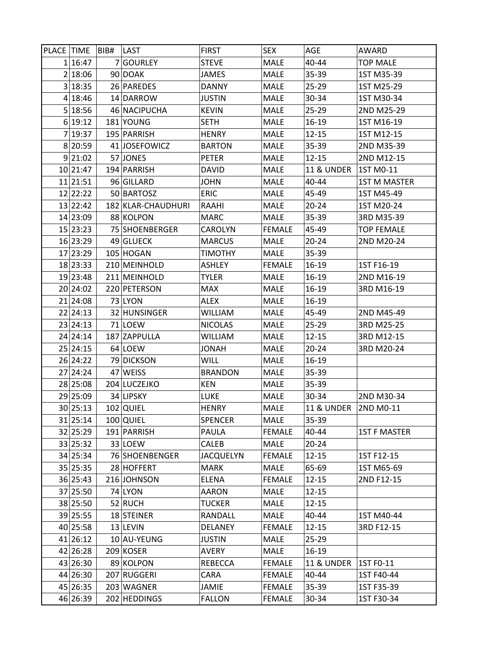| PLACE TIME |          | BIB# | LAST               | <b>FIRST</b>     | <b>SEX</b>    | <b>AGE</b>            | AWARD               |
|------------|----------|------|--------------------|------------------|---------------|-----------------------|---------------------|
|            | 1 16:47  |      | 7 GOURLEY          | <b>STEVE</b>     | MALE          | 40-44                 | <b>TOP MALE</b>     |
|            | 2 18:06  |      | 90 DOAK            | JAMES            | MALE          | 35-39                 | 1ST M35-39          |
|            | 3 18:35  |      | 26 PAREDES         | <b>DANNY</b>     | <b>MALE</b>   | $25 - 29$             | 1ST M25-29          |
|            | 4 18:46  |      | 14 DARROW          | <b>JUSTIN</b>    | <b>MALE</b>   | 30-34                 | 1ST M30-34          |
|            | 5 18:56  |      | 46 NACIPUCHA       | <b>KEVIN</b>     | <b>MALE</b>   | $25 - 29$             | 2ND M25-29          |
|            | 6 19:12  |      | 181 YOUNG          | <b>SETH</b>      | <b>MALE</b>   | $16 - 19$             | 1ST M16-19          |
|            | 7 19:37  |      | 195 PARRISH        | <b>HENRY</b>     | <b>MALE</b>   | $12 - 15$             | 1ST M12-15          |
|            | 8 20:59  |      | 41 JOSEFOWICZ      | <b>BARTON</b>    | <b>MALE</b>   | 35-39                 | 2ND M35-39          |
|            | 9 21:02  |      | 57 JONES           | <b>PETER</b>     | <b>MALE</b>   | $12 - 15$             | 2ND M12-15          |
|            | 10 21:47 |      | 194 PARRISH        | <b>DAVID</b>     | MALE          | <b>11 &amp; UNDER</b> | 1ST M0-11           |
|            | 11 21:51 |      | 96 GILLARD         | JOHN             | <b>MALE</b>   | 40-44                 | <b>1ST M MASTER</b> |
|            | 12 22:22 |      | 50 BARTOSZ         | <b>ERIC</b>      | <b>MALE</b>   | 45-49                 | 1ST M45-49          |
|            | 13 22:42 |      | 182 KLAR-CHAUDHURI | RAAHI            | <b>MALE</b>   | $20 - 24$             | 1ST M20-24          |
|            | 14 23:09 |      | 88 KOLPON          | MARC             | <b>MALE</b>   | 35-39                 | 3RD M35-39          |
|            | 15 23:23 |      | 75 SHOENBERGER     | CAROLYN          | <b>FEMALE</b> | 45-49                 | <b>TOP FEMALE</b>   |
|            | 16 23:29 |      | 49 GLUECK          | <b>MARCUS</b>    | <b>MALE</b>   | $20 - 24$             | 2ND M20-24          |
|            | 17 23:29 |      | 105 HOGAN          | TIMOTHY          | <b>MALE</b>   | 35-39                 |                     |
|            | 18 23:33 |      | 210 MEINHOLD       | <b>ASHLEY</b>    | <b>FEMALE</b> | $16-19$               | 1ST F16-19          |
|            | 19 23:48 |      | 211 MEINHOLD       | <b>TYLER</b>     | <b>MALE</b>   | 16-19                 | 2ND M16-19          |
|            | 20 24:02 |      | 220 PETERSON       | <b>MAX</b>       | <b>MALE</b>   | 16-19                 | 3RD M16-19          |
|            | 21 24:08 |      | 73 LYON            | ALEX             | MALE          | 16-19                 |                     |
|            | 22 24:13 |      | 32 HUNSINGER       | WILLIAM          | <b>MALE</b>   | 45-49                 | 2ND M45-49          |
|            | 23 24:13 |      | 71 LOEW            | <b>NICOLAS</b>   | MALE          | $25 - 29$             | 3RD M25-25          |
|            | 24 24:14 |      | 187 ZAPPULLA       | WILLIAM          | <b>MALE</b>   | $12 - 15$             | 3RD M12-15          |
|            | 25 24:15 |      | 64 LOEW            | HANOL            | <b>MALE</b>   | $20 - 24$             | 3RD M20-24          |
|            | 26 24:22 |      | 79 DICKSON         | WILL             | MALE          | 16-19                 |                     |
|            | 27 24:24 |      | 47 WEISS           | <b>BRANDON</b>   | <b>MALE</b>   | 35-39                 |                     |
|            | 28 25:08 |      | 204 LUCZEJKO       | <b>KEN</b>       | MALE          | 35-39                 |                     |
|            | 29 25:09 |      | 34 LIPSKY          | LUKE             | <b>MALE</b>   | 30-34                 | 2ND M30-34          |
|            | 30 25:13 |      | 102 QUIEL          | <b>HENRY</b>     | <b>MALE</b>   | <b>11 &amp; UNDER</b> | 2ND M0-11           |
|            | 31 25:14 |      | 100 QUIEL          | <b>SPENCER</b>   | <b>MALE</b>   | 35-39                 |                     |
|            | 32 25:29 |      | 191 PARRISH        | <b>PAULA</b>     | <b>FEMALE</b> | 40-44                 | <b>1ST F MASTER</b> |
|            | 33 25:32 |      | 33 LOEW            | CALEB            | MALE          | $20 - 24$             |                     |
|            | 34 25:34 |      | 76 SHOENBENGER     | <b>JACQUELYN</b> | <b>FEMALE</b> | $12 - 15$             | 1ST F12-15          |
|            | 35 25:35 |      | 28 HOFFERT         | <b>MARK</b>      | MALE          | 65-69                 | 1ST M65-69          |
|            | 36 25:43 |      | 216 JOHNSON        | ELENA            | <b>FEMALE</b> | $12 - 15$             | 2ND F12-15          |
|            | 37 25:50 |      | 74 LYON            | AARON            | MALE          | $12 - 15$             |                     |
|            | 38 25:50 |      | 52 RUCH            | TUCKER           | <b>MALE</b>   | $12 - 15$             |                     |
|            | 39 25:55 |      | 18 STEINER         | RANDALL          | MALE          | 40-44                 | 1ST M40-44          |
|            | 40 25:58 |      | 13 LEVIN           | <b>DELANEY</b>   | <b>FEMALE</b> | $12 - 15$             | 3RD F12-15          |
|            | 41 26:12 |      | 10 AU-YEUNG        | <b>JUSTIN</b>    | MALE          | $25 - 29$             |                     |
|            | 42 26:28 |      | 209 KOSER          | <b>AVERY</b>     | MALE          | 16-19                 |                     |
|            | 43 26:30 |      | 89 KOLPON          | <b>REBECCA</b>   | <b>FEMALE</b> | <b>11 &amp; UNDER</b> | 1ST F0-11           |
|            | 44 26:30 |      | 207 RUGGERI        | CARA             | <b>FEMALE</b> | 40-44                 | 1ST F40-44          |
|            | 45 26:35 |      | 203 WAGNER         | JAMIE            | <b>FEMALE</b> | 35-39                 | 1ST F35-39          |
|            | 46 26:39 |      | 202 HEDDINGS       | <b>FALLON</b>    | <b>FEMALE</b> | 30-34                 | 1ST F30-34          |
|            |          |      |                    |                  |               |                       |                     |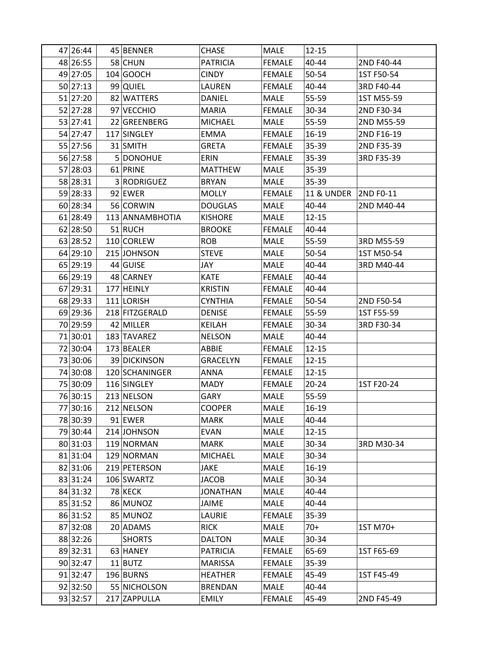| 47 26:44 | 45 BENNER       | <b>CHASE</b>    | <b>MALE</b>   | $12 - 15$             |            |
|----------|-----------------|-----------------|---------------|-----------------------|------------|
| 48 26:55 | 58 CHUN         | <b>PATRICIA</b> | <b>FEMALE</b> | 40-44                 | 2ND F40-44 |
| 49 27:05 | 104 GOOCH       | <b>CINDY</b>    | <b>FEMALE</b> | 50-54                 | 1ST F50-54 |
| 50 27:13 | 99 QUIEL        | LAUREN          | <b>FEMALE</b> | 40-44                 | 3RD F40-44 |
| 51 27:20 | 82 WATTERS      | DANIEL          | <b>MALE</b>   | 55-59                 | 1ST M55-59 |
| 52 27:28 | 97 VECCHIO      | <b>MARIA</b>    | <b>FEMALE</b> | 30-34                 | 2ND F30-34 |
| 53 27:41 | 22 GREENBERG    | <b>MICHAEL</b>  | MALE          | 55-59                 | 2ND M55-59 |
| 54 27:47 | 117 SINGLEY     | <b>EMMA</b>     | <b>FEMALE</b> | 16-19                 | 2ND F16-19 |
| 55 27:56 | 31 SMITH        | <b>GRETA</b>    | <b>FEMALE</b> | 35-39                 | 2ND F35-39 |
| 56 27:58 | 5 DONOHUE       | ERIN            | <b>FEMALE</b> | 35-39                 | 3RD F35-39 |
| 57 28:03 | 61 PRINE        | <b>MATTHEW</b>  | <b>MALE</b>   | 35-39                 |            |
| 58 28:31 | 3 RODRIGUEZ     | <b>BRYAN</b>    | <b>MALE</b>   | 35-39                 |            |
| 59 28:33 | 92 EWER         | <b>MOLLY</b>    | <b>FEMALE</b> | <b>11 &amp; UNDER</b> | 2ND F0-11  |
| 60 28:34 | 56 CORWIN       | <b>DOUGLAS</b>  | <b>MALE</b>   | 40-44                 | 2ND M40-44 |
| 61 28:49 | 113 ANNAMBHOTIA | <b>KISHORE</b>  | <b>MALE</b>   | 12-15                 |            |
| 62 28:50 | 51 RUCH         | <b>BROOKE</b>   | <b>FEMALE</b> | 40-44                 |            |
| 63 28:52 | 110 CORLEW      | <b>ROB</b>      | <b>MALE</b>   | 55-59                 | 3RD M55-59 |
| 64 29:10 | 215 JOHNSON     | <b>STEVE</b>    | <b>MALE</b>   | 50-54                 | 1ST M50-54 |
| 65 29:19 | 44 GUISE        | JAY             | <b>MALE</b>   | 40-44                 | 3RD M40-44 |
| 66 29:19 | 48 CARNEY       | <b>KATE</b>     | <b>FEMALE</b> | 40-44                 |            |
| 67 29:31 | 177 HEINLY      | <b>KRISTIN</b>  | <b>FEMALE</b> | 40-44                 |            |
| 68 29:33 | 111 LORISH      | <b>CYNTHIA</b>  | <b>FEMALE</b> | 50-54                 | 2ND F50-54 |
| 69 29:36 | 218 FITZGERALD  | <b>DENISE</b>   | <b>FEMALE</b> | 55-59                 | 1ST F55-59 |
| 70 29:59 | 42 MILLER       | <b>KEILAH</b>   | <b>FEMALE</b> | 30-34                 | 3RD F30-34 |
| 71 30:01 | 183 TAVAREZ     | <b>NELSON</b>   | MALE          | 40-44                 |            |
| 72 30:04 | 173 BEALER      | ABBIE           | <b>FEMALE</b> | $12 - 15$             |            |
| 73 30:06 | 39 DICKINSON    | <b>GRACELYN</b> | <b>FEMALE</b> | $12 - 15$             |            |
| 74 30:08 | 120 SCHANINGER  | ANNA            | <b>FEMALE</b> | $12 - 15$             |            |
| 75 30:09 | 116 SINGLEY     | <b>MADY</b>     | <b>FEMALE</b> | $20 - 24$             | 1ST F20-24 |
| 76 30:15 | 213 NELSON      | GARY            | MALE          | 55-59                 |            |
| 77 30:16 | 212 NELSON      | <b>COOPER</b>   | <b>MALE</b>   | 16-19                 |            |
| 78 30:39 | 91 EWER         | <b>MARK</b>     | <b>MALE</b>   | 40-44                 |            |
| 79 30:44 | 214 JOHNSON     | <b>EVAN</b>     | MALE          | $12 - 15$             |            |
| 80 31:03 | 119 NORMAN      | <b>MARK</b>     | <b>MALE</b>   | 30-34                 | 3RD M30-34 |
| 81 31:04 | 129 NORMAN      | <b>MICHAEL</b>  | MALE          | 30-34                 |            |
| 82 31:06 | 219 PETERSON    | <b>JAKE</b>     | MALE          | 16-19                 |            |
| 83 31:24 | 106 SWARTZ      | JACOB           | <b>MALE</b>   | 30-34                 |            |
| 84 31:32 | 78 KECK         | <b>JONATHAN</b> | MALE          | 40-44                 |            |
| 85 31:52 | 86 MUNOZ        | JAIME           | <b>MALE</b>   | 40-44                 |            |
| 86 31:52 | 85 MUNOZ        | LAURIE          | <b>FEMALE</b> | 35-39                 |            |
| 87 32:08 | 20 ADAMS        | <b>RICK</b>     | <b>MALE</b>   | $70+$                 | 1ST M70+   |
| 88 32:26 | <b>SHORTS</b>   | <b>DALTON</b>   | <b>MALE</b>   | 30-34                 |            |
| 89 32:31 | 63 HANEY        | <b>PATRICIA</b> | <b>FEMALE</b> | 65-69                 | 1ST F65-69 |
| 90 32:47 | $11$  BUTZ      | <b>MARISSA</b>  | <b>FEMALE</b> | 35-39                 |            |
| 91 32:47 | 196 BURNS       | <b>HEATHER</b>  | <b>FEMALE</b> | 45-49                 | 1ST F45-49 |
| 92 32:50 | 55 NICHOLSON    | <b>BRENDAN</b>  | <b>MALE</b>   | 40-44                 |            |
| 93 32:57 | 217 ZAPPULLA    | <b>EMILY</b>    | <b>FEMALE</b> | 45-49                 | 2ND F45-49 |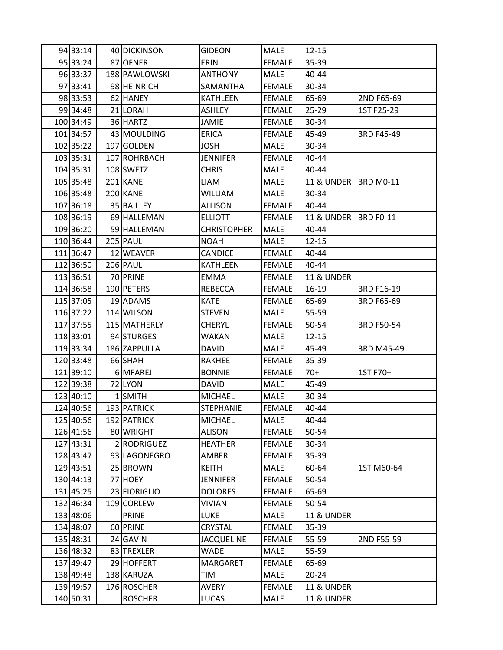| 94 33:14  | 40 DICKINSON    | GIDEON             | <b>MALE</b>   | $12 - 15$             |            |
|-----------|-----------------|--------------------|---------------|-----------------------|------------|
| 95 33:24  | 87 OFNER        | ERIN               | <b>FEMALE</b> | 35-39                 |            |
| 96 33:37  | 188 PAWLOWSKI   | <b>ANTHONY</b>     | <b>MALE</b>   | 40-44                 |            |
| 97 33:41  | 98 HEINRICH     | SAMANTHA           | <b>FEMALE</b> | 30-34                 |            |
| 98 33:53  | 62 HANEY        | KATHLEEN           | <b>FEMALE</b> | 65-69                 | 2ND F65-69 |
| 99 34:48  | 21 LORAH        | ASHLEY             | <b>FEMALE</b> | $25 - 29$             | 1ST F25-29 |
| 100 34:49 | 36 HARTZ        | <b>JAMIE</b>       | <b>FEMALE</b> | 30-34                 |            |
| 101 34:57 | 43 MOULDING     | <b>ERICA</b>       | <b>FEMALE</b> | 45-49                 | 3RD F45-49 |
| 102 35:22 | 197 GOLDEN      | <b>JOSH</b>        | <b>MALE</b>   | 30-34                 |            |
| 103 35:31 | 107 ROHRBACH    | <b>JENNIFER</b>    | <b>FEMALE</b> | 40-44                 |            |
| 104 35:31 | 108 SWETZ       | <b>CHRIS</b>       | <b>MALE</b>   | 40-44                 |            |
| 105 35:48 | 201 KANE        | LIAM               | <b>MALE</b>   | <b>11 &amp; UNDER</b> | 3RD M0-11  |
| 106 35:48 | 200 KANE        | <b>WILLIAM</b>     | <b>MALE</b>   | 30-34                 |            |
| 107 36:18 | 35 BAILLEY      | <b>ALLISON</b>     | <b>FEMALE</b> | 40-44                 |            |
| 108 36:19 | 69 HALLEMAN     | <b>ELLIOTT</b>     | <b>FEMALE</b> | <b>11 &amp; UNDER</b> | 3RD F0-11  |
| 109 36:20 | 59 HALLEMAN     | <b>CHRISTOPHER</b> | MALE          | 40-44                 |            |
| 110 36:44 | <b>205 PAUL</b> | <b>NOAH</b>        | MALE          | $12 - 15$             |            |
| 111 36:47 | 12 WEAVER       | <b>CANDICE</b>     | <b>FEMALE</b> | 40-44                 |            |
| 112 36:50 | <b>206 PAUL</b> | <b>KATHLEEN</b>    | <b>FEMALE</b> | 40-44                 |            |
| 113 36:51 | 70 PRINE        | <b>EMMA</b>        | <b>FEMALE</b> | <b>11 &amp; UNDER</b> |            |
| 114 36:58 | 190 PETERS      | REBECCA            | <b>FEMALE</b> | 16-19                 | 3RD F16-19 |
| 115 37:05 | 19 ADAMS        | <b>KATE</b>        | <b>FEMALE</b> | 65-69                 | 3RD F65-69 |
| 116 37:22 | 114 WILSON      | <b>STEVEN</b>      | <b>MALE</b>   | 55-59                 |            |
| 117 37:55 | 115 MATHERLY    | <b>CHERYL</b>      | <b>FEMALE</b> | 50-54                 | 3RD F50-54 |
| 118 33:01 | 94 STURGES      | WAKAN              | MALE          | $12 - 15$             |            |
| 119 33:34 | 186 ZAPPULLA    | <b>DAVID</b>       | <b>MALE</b>   | 45-49                 | 3RD M45-49 |
| 120 33:48 | 66 SHAH         | <b>RAKHEE</b>      | <b>FEMALE</b> | 35-39                 |            |
| 121 39:10 | 6 MFAREJ        | <b>BONNIE</b>      | <b>FEMALE</b> | $70+$                 | 1ST F70+   |
| 122 39:38 | 72 LYON         | <b>DAVID</b>       | <b>MALE</b>   | 45-49                 |            |
| 123 40:10 | $1$ SMITH       | <b>MICHAEL</b>     | MALE          | 30-34                 |            |
| 124 40:56 | 193 PATRICK     | <b>STEPHANIE</b>   | <b>FEMALE</b> | 40-44                 |            |
| 125 40:56 | 192 PATRICK     | <b>MICHAEL</b>     | <b>MALE</b>   | 40-44                 |            |
| 126 41:56 | 80 WRIGHT       | <b>ALISON</b>      | <b>FEMALE</b> | 50-54                 |            |
| 127 43:31 | 2 RODRIGUEZ     | <b>HEATHER</b>     | <b>FEMALE</b> | 30-34                 |            |
| 128 43:47 | 93 LAGONEGRO    | AMBER              | <b>FEMALE</b> | 35-39                 |            |
| 129 43:51 | 25 BROWN        | <b>KEITH</b>       | <b>MALE</b>   | 60-64                 | 1ST M60-64 |
| 130 44:13 | 77 HOEY         | <b>JENNIFER</b>    | <b>FEMALE</b> | 50-54                 |            |
| 131 45:25 | 23 FIORIGLIO    | <b>DOLORES</b>     | <b>FEMALE</b> | 65-69                 |            |
| 132 46:34 | 109 CORLEW      | <b>VIVIAN</b>      | <b>FEMALE</b> | 50-54                 |            |
| 133 48:06 | <b>PRINE</b>    | LUKE               | <b>MALE</b>   | <b>11 &amp; UNDER</b> |            |
| 134 48:07 | 60 PRINE        | CRYSTAL            | <b>FEMALE</b> | 35-39                 |            |
| 135 48:31 | 24 GAVIN        | <b>JACQUELINE</b>  | <b>FEMALE</b> | 55-59                 | 2ND F55-59 |
| 136 48:32 | 83 TREXLER      | <b>WADE</b>        | <b>MALE</b>   | 55-59                 |            |
| 137 49:47 | 29 HOFFERT      | <b>MARGARET</b>    | <b>FEMALE</b> | 65-69                 |            |
| 138 49:48 | 138 KARUZA      | TIM                | <b>MALE</b>   | $20 - 24$             |            |
| 139 49:57 | 176 ROSCHER     | AVERY              | <b>FEMALE</b> | <b>11 &amp; UNDER</b> |            |
| 140 50:31 | <b>ROSCHER</b>  | LUCAS              | MALE          | <b>11 &amp; UNDER</b> |            |